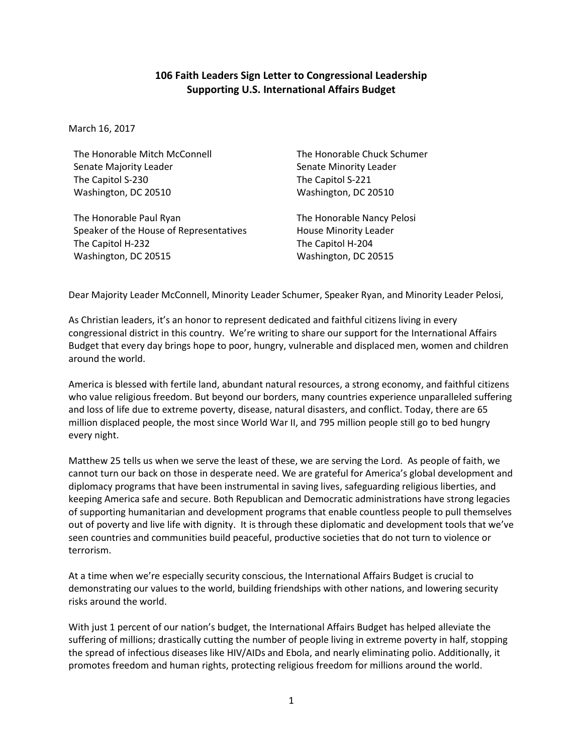## **106 Faith Leaders Sign Letter to Congressional Leadership Supporting U.S. International Affairs Budget**

March 16, 2017

The Honorable Mitch McConnell Senate Majority Leader The Capitol S-230 Washington, DC 20510

The Honorable Paul Ryan Speaker of the House of Representatives The Capitol H-232 Washington, DC 20515

The Honorable Chuck Schumer Senate Minority Leader The Capitol S-221 Washington, DC 20510

The Honorable Nancy Pelosi House Minority Leader The Capitol H-204 Washington, DC 20515

Dear Majority Leader McConnell, Minority Leader Schumer, Speaker Ryan, and Minority Leader Pelosi,

As Christian leaders, it's an honor to represent dedicated and faithful citizens living in every congressional district in this country. We're writing to share our support for the International Affairs Budget that every day brings hope to poor, hungry, vulnerable and displaced men, women and children around the world.

America is blessed with fertile land, abundant natural resources, a strong economy, and faithful citizens who value religious freedom. But beyond our borders, many countries experience unparalleled suffering and loss of life due to extreme poverty, disease, natural disasters, and conflict. Today, there are 65 million displaced people, the most since World War II, and 795 million people still go to bed hungry every night.

Matthew 25 tells us when we serve the least of these, we are serving the Lord. As people of faith, we cannot turn our back on those in desperate need. We are grateful for America's global development and diplomacy programs that have been instrumental in saving lives, safeguarding religious liberties, and keeping America safe and secure. Both Republican and Democratic administrations have strong legacies of supporting humanitarian and development programs that enable countless people to pull themselves out of poverty and live life with dignity. It is through these diplomatic and development tools that we've seen countries and communities build peaceful, productive societies that do not turn to violence or terrorism.

At a time when we're especially security conscious, the International Affairs Budget is crucial to demonstrating our values to the world, building friendships with other nations, and lowering security risks around the world.

With just 1 percent of our nation's budget, the International Affairs Budget has helped alleviate the suffering of millions; drastically cutting the number of people living in extreme poverty in half, stopping the spread of infectious diseases like HIV/AIDs and Ebola, and nearly eliminating polio. Additionally, it promotes freedom and human rights, protecting religious freedom for millions around the world.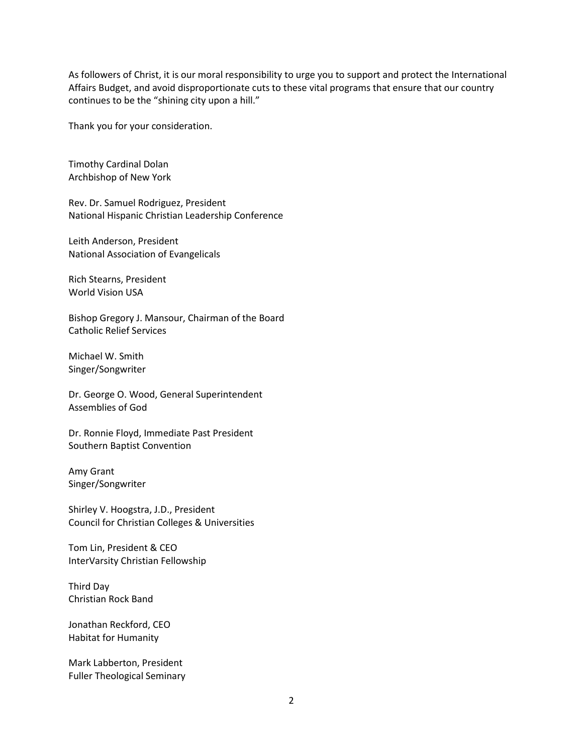As followers of Christ, it is our moral responsibility to urge you to support and protect the International Affairs Budget, and avoid disproportionate cuts to these vital programs that ensure that our country continues to be the "shining city upon a hill."

Thank you for your consideration.

Timothy Cardinal Dolan Archbishop of New York

Rev. Dr. Samuel Rodriguez, President National Hispanic Christian Leadership Conference

Leith Anderson, President National Association of Evangelicals

Rich Stearns, President World Vision USA

Bishop Gregory J. Mansour, Chairman of the Board Catholic Relief Services

Michael W. Smith Singer/Songwriter

Dr. George O. Wood, General Superintendent Assemblies of God

Dr. Ronnie Floyd, Immediate Past President Southern Baptist Convention

Amy Grant Singer/Songwriter

Shirley V. Hoogstra, J.D., President Council for Christian Colleges & Universities

Tom Lin, President & CEO InterVarsity Christian Fellowship

Third Day Christian Rock Band

Jonathan Reckford, CEO Habitat for Humanity

Mark Labberton, President Fuller Theological Seminary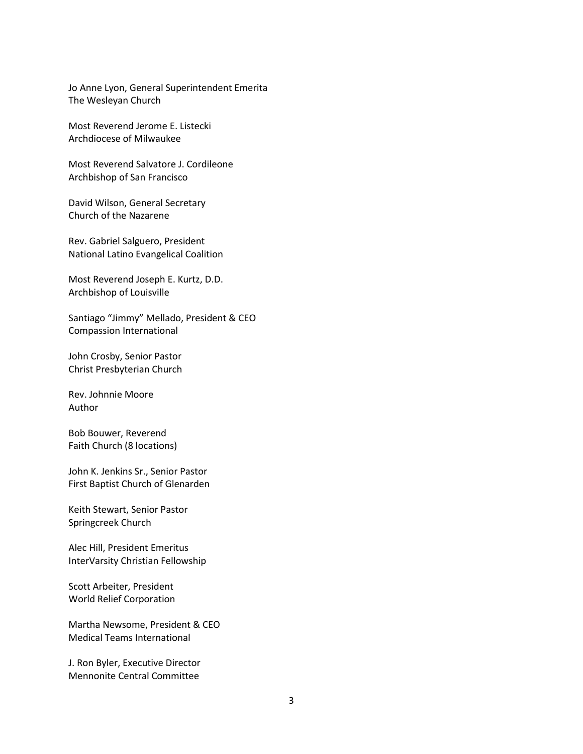Jo Anne Lyon, General Superintendent Emerita The Wesleyan Church

Most Reverend Jerome E. Listecki Archdiocese of Milwaukee

Most Reverend Salvatore J. Cordileone Archbishop of San Francisco

David Wilson, General Secretary Church of the Nazarene

Rev. Gabriel Salguero, President National Latino Evangelical Coalition

Most Reverend Joseph E. Kurtz, D.D. Archbishop of Louisville

Santiago "Jimmy" Mellado, President & CEO Compassion International

John Crosby, Senior Pastor Christ Presbyterian Church

Rev. Johnnie Moore Author

Bob Bouwer, Reverend Faith Church (8 locations)

John K. Jenkins Sr., Senior Pastor First Baptist Church of Glenarden

Keith Stewart, Senior Pastor Springcreek Church

Alec Hill, President Emeritus InterVarsity Christian Fellowship

Scott Arbeiter, President World Relief Corporation

Martha Newsome, President & CEO Medical Teams International

J. Ron Byler, Executive Director Mennonite Central Committee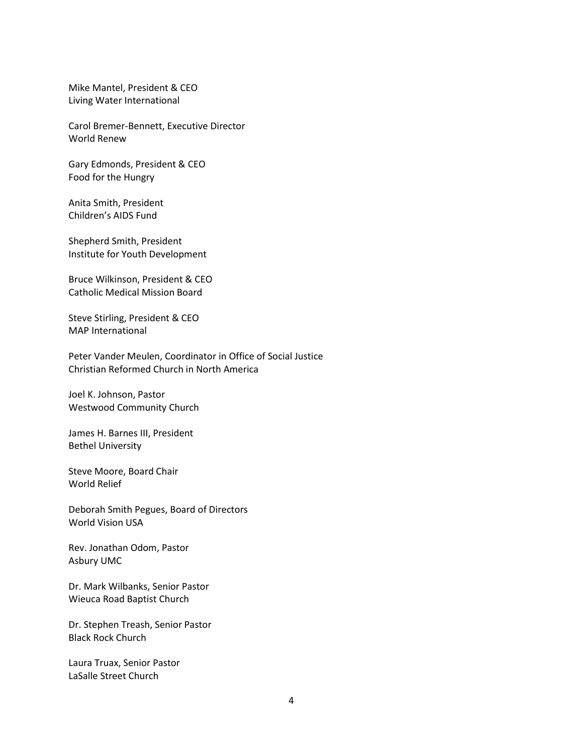Mike Mantel, President & CEO Living Water International

Carol Bremer-Bennett, Executive Director World Renew

Gary Edmonds, President & CEO Food for the Hungry

Anita Smith, President Children's AIDS Fund

Shepherd Smith, President Institute for Youth Development

Bruce Wilkinson, President & CEO Catholic Medical Mission Board

Steve Stirling, President & CEO MAP International

Peter Vander Meulen, Coordinator in Office of Social Justice Christian Reformed Church in North America

Joel K. Johnson, Pastor Westwood Community Church

James H. Barnes III, President Bethel University

Steve Moore, Board Chair World Relief

Deborah Smith Pegues, Board of Directors World Vision USA

Rev. Jonathan Odom, Pastor Asbury UMC

Dr. Mark Wilbanks, Senior Pastor Wieuca Road Baptist Church

Dr. Stephen Treash, Senior Pastor Black Rock Church

Laura Truax, Senior Pastor LaSalle Street Church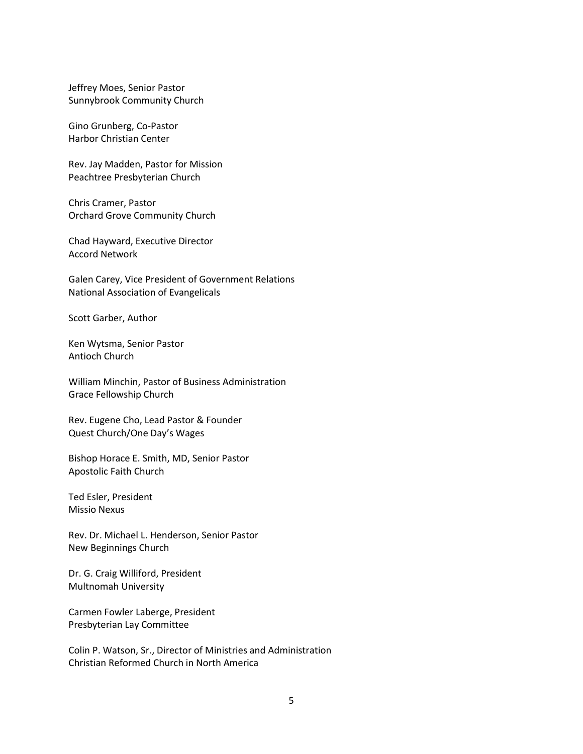Jeffrey Moes, Senior Pastor Sunnybrook Community Church

Gino Grunberg, Co-Pastor Harbor Christian Center

Rev. Jay Madden, Pastor for Mission Peachtree Presbyterian Church

Chris Cramer, Pastor Orchard Grove Community Church

Chad Hayward, Executive Director Accord Network

Galen Carey, Vice President of Government Relations National Association of Evangelicals

Scott Garber, Author

Ken Wytsma, Senior Pastor Antioch Church

William Minchin, Pastor of Business Administration Grace Fellowship Church

Rev. Eugene Cho, Lead Pastor & Founder Quest Church/One Day's Wages

Bishop Horace E. Smith, MD, Senior Pastor Apostolic Faith Church

Ted Esler, President Missio Nexus

Rev. Dr. Michael L. Henderson, Senior Pastor New Beginnings Church

Dr. G. Craig Williford, President Multnomah University

Carmen Fowler Laberge, President Presbyterian Lay Committee

Colin P. Watson, Sr., Director of Ministries and Administration Christian Reformed Church in North America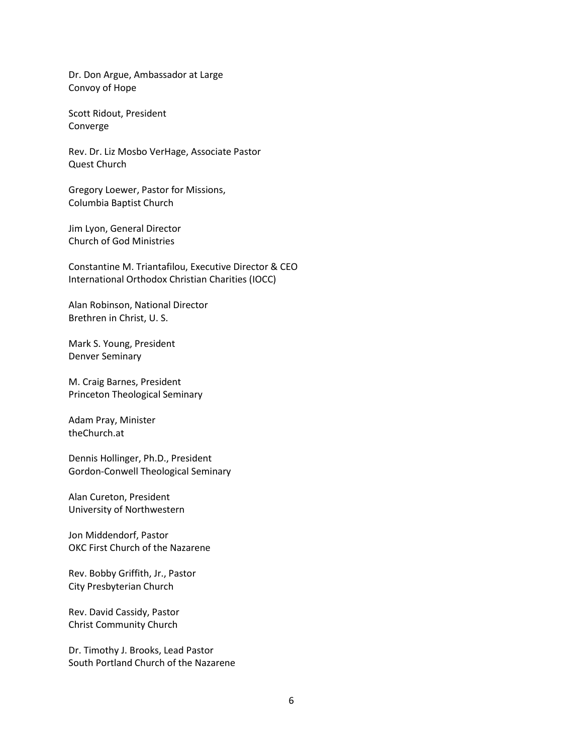Dr. Don Argue, Ambassador at Large Convoy of Hope

Scott Ridout, President Converge

Rev. Dr. Liz Mosbo VerHage, Associate Pastor Quest Church

Gregory Loewer, Pastor for Missions, Columbia Baptist Church

Jim Lyon, General Director Church of God Ministries

Constantine M. Triantafilou, Executive Director & CEO International Orthodox Christian Charities (IOCC)

Alan Robinson, National Director Brethren in Christ, U. S.

Mark S. Young, President Denver Seminary

M. Craig Barnes, President Princeton Theological Seminary

Adam Pray, Minister theChurch.at

Dennis Hollinger, Ph.D., President Gordon-Conwell Theological Seminary

Alan Cureton, President University of Northwestern

Jon Middendorf, Pastor OKC First Church of the Nazarene

Rev. Bobby Griffith, Jr., Pastor City Presbyterian Church

Rev. David Cassidy, Pastor Christ Community Church

Dr. Timothy J. Brooks, Lead Pastor South Portland Church of the Nazarene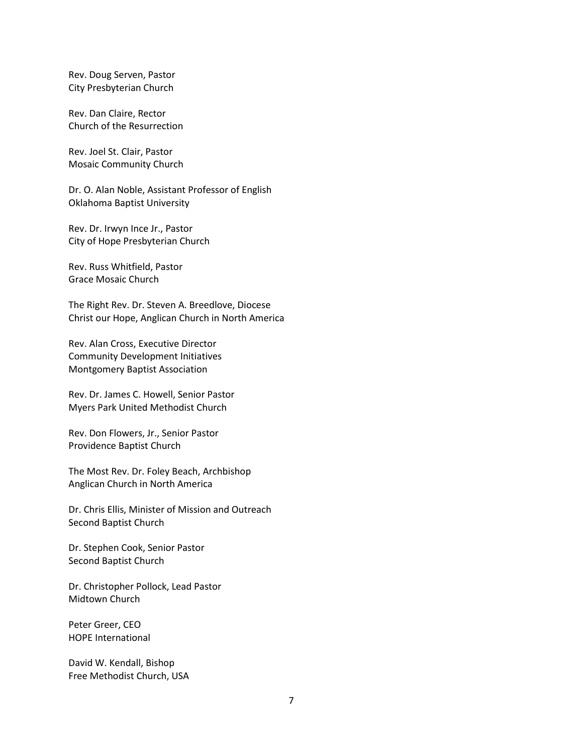Rev. Doug Serven, Pastor City Presbyterian Church

Rev. Dan Claire, Rector Church of the Resurrection

Rev. Joel St. Clair, Pastor Mosaic Community Church

Dr. O. Alan Noble, Assistant Professor of English Oklahoma Baptist University

Rev. Dr. Irwyn Ince Jr., Pastor City of Hope Presbyterian Church

Rev. Russ Whitfield, Pastor Grace Mosaic Church

The Right Rev. Dr. Steven A. Breedlove, Diocese Christ our Hope, Anglican Church in North America

Rev. Alan Cross, Executive Director Community Development Initiatives Montgomery Baptist Association

Rev. Dr. James C. Howell, Senior Pastor Myers Park United Methodist Church

Rev. Don Flowers, Jr., Senior Pastor Providence Baptist Church

The Most Rev. Dr. Foley Beach, Archbishop Anglican Church in North America

Dr. Chris Ellis, Minister of Mission and Outreach Second Baptist Church

Dr. Stephen Cook, Senior Pastor Second Baptist Church

Dr. Christopher Pollock, Lead Pastor Midtown Church

Peter Greer, CEO HOPE International

David W. Kendall, Bishop Free Methodist Church, USA